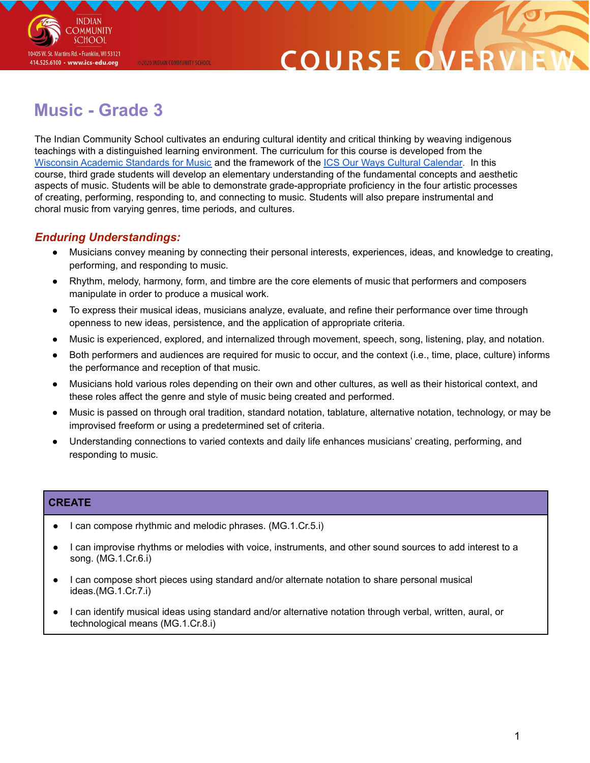

## COURSE O

### **Music - Grade 3**

@2020 INDIAN COMMUNITY SCHOOL

The Indian Community School cultivates an enduring cultural identity and critical thinking by weaving indigenous teachings with a distinguished learning environment. The curriculum for this course is developed from the Wisconsin Academic [Standards](https://dpi.wi.gov/sites/default/files/imce/fine-arts/wimusicstandardsfinaladopted.pdf) for Music and the framework of the ICS Our Ways Cultural [Calendar](https://drive.google.com/open?id=0B7pONXiRIufTT3VHOXBBeG9USHMzbDNIUi1nV0NTbURCMFRZ). In this course, third grade students will develop an elementary understanding of the fundamental concepts and aesthetic aspects of music. Students will be able to demonstrate grade-appropriate proficiency in the four artistic processes of creating, performing, responding to, and connecting to music. Students will also prepare instrumental and choral music from varying genres, time periods, and cultures.

### *Enduring Understandings:*

- Musicians convey meaning by connecting their personal interests, experiences, ideas, and knowledge to creating, performing, and responding to music.
- Rhythm, melody, harmony, form, and timbre are the core elements of music that performers and composers manipulate in order to produce a musical work.
- To express their musical ideas, musicians analyze, evaluate, and refine their performance over time through openness to new ideas, persistence, and the application of appropriate criteria.
- Music is experienced, explored, and internalized through movement, speech, song, listening, play, and notation.
- Both performers and audiences are required for music to occur, and the context (i.e., time, place, culture) informs the performance and reception of that music.
- Musicians hold various roles depending on their own and other cultures, as well as their historical context, and these roles affect the genre and style of music being created and performed.
- Music is passed on through oral tradition, standard notation, tablature, alternative notation, technology, or may be improvised freeform or using a predetermined set of criteria.
- Understanding connections to varied contexts and daily life enhances musicians' creating, performing, and responding to music.

### **CREATE**

- I can compose rhythmic and melodic phrases. (MG.1.Cr.5.i)
- I can improvise rhythms or melodies with voice, instruments, and other sound sources to add interest to a song. (MG.1.Cr.6.i)
- I can compose short pieces using standard and/or alternate notation to share personal musical ideas.(MG.1.Cr.7.i)
- I can identify musical ideas using standard and/or alternative notation through verbal, written, aural, or technological means (MG.1.Cr.8.i)